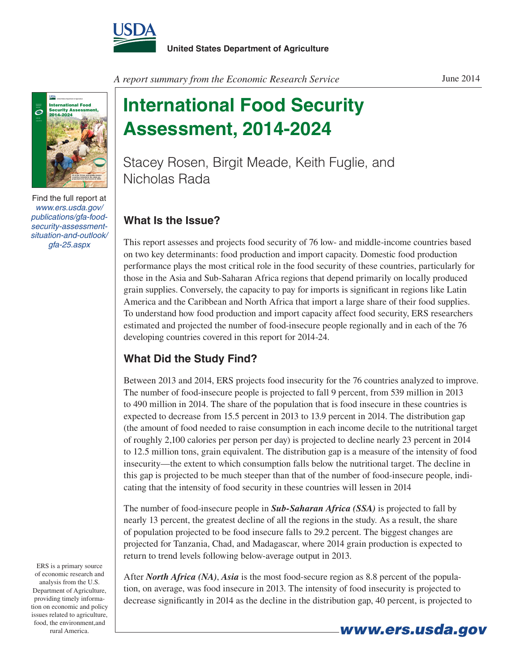



Find the full report at *www.ers.usda.gov/ publications/gfa-foodsecurity-assessmentsituation-and-outlook/ gfa-25.aspx*

**International Food Security Assessment, 2014-2024**

Stacey Rosen, Birgit Meade, Keith Fuglie, and Nicholas Rada

## **What Is the Issue?**

This report assesses and projects food security of 76 low- and middle-income countries based on two key determinants: food production and import capacity. Domestic food production performance plays the most critical role in the food security of these countries, particularly for those in the Asia and Sub-Saharan Africa regions that depend primarily on locally produced grain supplies. Conversely, the capacity to pay for imports is significant in regions like Latin America and the Caribbean and North Africa that import a large share of their food supplies. To understand how food production and import capacity affect food security, ERS researchers estimated and projected the number of food-insecure people regionally and in each of the 76 developing countries covered in this report for 2014-24.

## **What Did the Study Find?**

Between 2013 and 2014, ERS projects food insecurity for the 76 countries analyzed to improve. The number of food-insecure people is projected to fall 9 percent, from 539 million in 2013 to 490 million in 2014. The share of the population that is food insecure in these countries is expected to decrease from 15.5 percent in 2013 to 13.9 percent in 2014. The distribution gap (the amount of food needed to raise consumption in each income decile to the nutritional target of roughly 2,100 calories per person per day) is projected to decline nearly 23 percent in 2014 to 12.5 million tons, grain equivalent. The distribution gap is a measure of the intensity of food insecurity—the extent to which consumption falls below the nutritional target. The decline in this gap is projected to be much steeper than that of the number of food-insecure people, indicating that the intensity of food security in these countries will lessen in 2014

The number of food-insecure people in *Sub-Saharan Africa (SSA)* is projected to fall by nearly 13 percent, the greatest decline of all the regions in the study. As a result, the share of population projected to be food insecure falls to 29.2 percent. The biggest changes are projected for Tanzania, Chad, and Madagascar, where 2014 grain production is expected to return to trend levels following below-average output in 2013.

After *North Africa (NA)*, *Asia* is the most food-secure region as 8.8 percent of the population, on average, was food insecure in 2013. The intensity of food insecurity is projected to decrease significantly in 2014 as the decline in the distribution gap, 40 percent, is projected to

ERS is a primary source of economic research and analysis from the U.S. Department of Agriculture, providing timely information on economic and policy issues related to agriculture, food, the environment,and